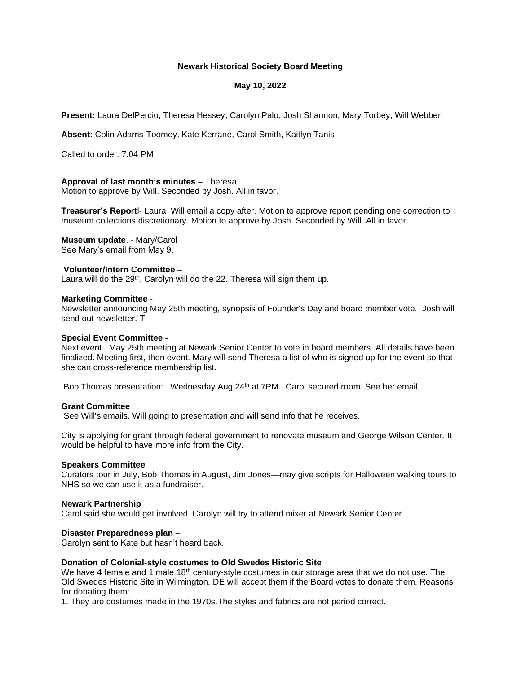# **Newark Historical Society Board Meeting**

# **May 10, 2022**

**Present:** Laura DelPercio, Theresa Hessey, Carolyn Palo, Josh Shannon, Mary Torbey, Will Webber

**Absent:** Colin Adams-Toomey, Kate Kerrane, Carol Smith, Kaitlyn Tanis

Called to order: 7:04 PM

# **Approval of last month's minutes** – Theresa

Motion to approve by Will. Seconded by Josh. All in favor.

**Treasurer's Report**l- Laura Will email a copy after. Motion to approve report pending one correction to museum collections discretionary. Motion to approve by Josh. Seconded by Will. All in favor.

**Museum update**. - Mary/Carol See Mary's email from May 9.

### **Volunteer/Intern Committee** –

Laura will do the 29<sup>th</sup>. Carolyn will do the 22. Theresa will sign them up.

#### **Marketing Committee** -

Newsletter announcing May 25th meeting, synopsis of Founder's Day and board member vote. Josh will send out newsletter. T

#### **Special Event Committee -**

Next event. May 25th meeting at Newark Senior Center to vote in board members. All details have been finalized. Meeting first, then event. Mary will send Theresa a list of who is signed up for the event so that she can cross-reference membership list.

Bob Thomas presentation: Wednesday Aug 24<sup>th</sup> at 7PM. Carol secured room. See her email.

#### **Grant Committee**

See Will's emails. Will going to presentation and will send info that he receives.

City is applying for grant through federal government to renovate museum and George Wilson Center. It would be helpful to have more info from the City.

#### **Speakers Committee**

Curators tour in July, Bob Thomas in August, Jim Jones—may give scripts for Halloween walking tours to NHS so we can use it as a fundraiser.

#### **Newark Partnership**

Carol said she would get involved. Carolyn will try to attend mixer at Newark Senior Center.

# **Disaster Preparedness plan** –

Carolyn sent to Kate but hasn't heard back.

#### **Donation of Colonial-style costumes to Old Swedes Historic Site**

We have 4 female and 1 male 18<sup>th</sup> century-style costumes in our storage area that we do not use. The Old Swedes Historic Site in Wilmington, DE will accept them if the Board votes to donate them. Reasons for donating them:

1. They are costumes made in the 1970s.The styles and fabrics are not period correct.